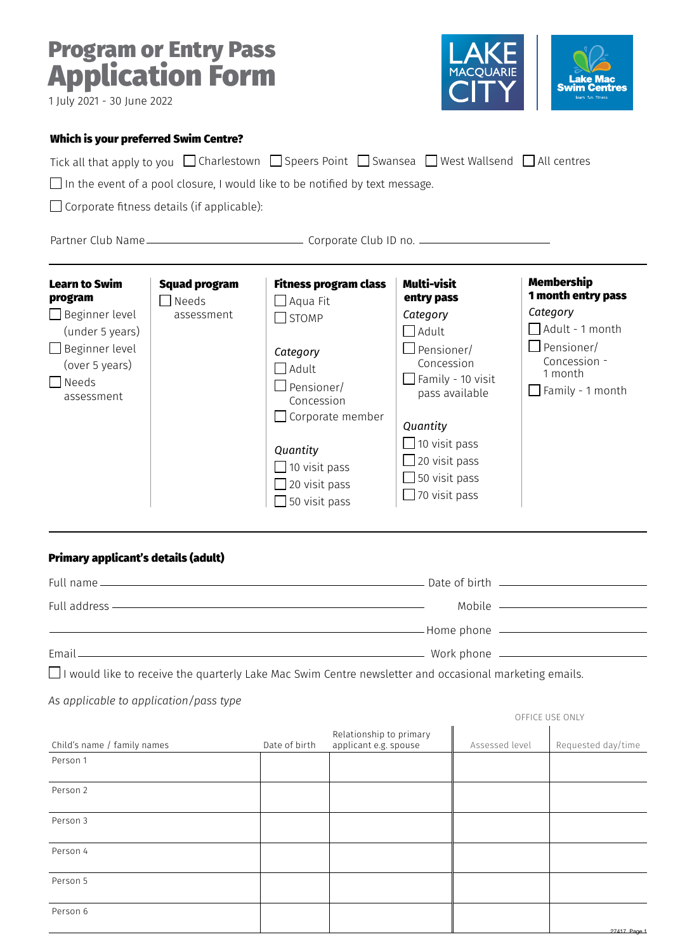# Program or Entry Pass Application Form



| 1 July 2021 - 30 June 2022                                                                                                                           |                                                   |                                                                                                                                                                                                                                           | U I J                                                                                                                                                                                                                                                     | learn fun fitness                                                                                                                                 |
|------------------------------------------------------------------------------------------------------------------------------------------------------|---------------------------------------------------|-------------------------------------------------------------------------------------------------------------------------------------------------------------------------------------------------------------------------------------------|-----------------------------------------------------------------------------------------------------------------------------------------------------------------------------------------------------------------------------------------------------------|---------------------------------------------------------------------------------------------------------------------------------------------------|
| <b>Which is your preferred Swim Centre?</b>                                                                                                          |                                                   | Tick all that apply to you $\Box$ Charlestown $\Box$ Speers Point $\Box$ Swansea $\Box$ West Wallsend $\Box$ All centres<br>$\Box$ In the event of a pool closure, I would like to be notified by text message.                           |                                                                                                                                                                                                                                                           |                                                                                                                                                   |
|                                                                                                                                                      | $\Box$ Corporate fitness details (if applicable): |                                                                                                                                                                                                                                           |                                                                                                                                                                                                                                                           |                                                                                                                                                   |
|                                                                                                                                                      |                                                   |                                                                                                                                                                                                                                           |                                                                                                                                                                                                                                                           |                                                                                                                                                   |
| <b>Learn to Swim</b><br>program<br>$\Box$ Beginner level<br>(under 5 years)<br>$\Box$ Beginner level<br>(over 5 years)<br>$\Box$ Needs<br>assessment | <b>Squad program</b><br>Needs<br>assessment       | <b>Fitness program class</b><br>$\Box$ Aqua Fit<br>$\Box$ STOMP<br>Category<br>$\bigcap$ Adult<br>Pensioner/<br>Concession<br>$\Box$ Corporate member<br>Quantity<br>$\Box$ 10 visit pass<br>$\Box$ 20 visit pass<br>$\Box$ 50 visit pass | <b>Multi-visit</b><br>entry pass<br>Category<br>$\Box$ Adult<br>$\Box$ Pensioner/<br>Concession<br>$\Box$ Family - 10 visit<br>pass available<br>Quantity<br>$\Box$ 10 visit pass<br>$\Box$ 20 visit pass<br>$\Box$ 50 visit pass<br>$\Box$ 70 visit pass | Membership<br>1 month entry pass<br>Category<br>$\Box$ Adult - 1 month<br>$\Box$ Pensioner/<br>Concession -<br>1 month<br>$\Box$ Family - 1 month |
| Primary applicant's details (adult)                                                                                                                  |                                                   | Full address - The Contract of the Contract of the Contract of the Contract of the Contract of the Contract of<br><u>Example 2001 and 2001 and 2001 and 2001 and 2001 and 2001 and 2001 and 2001 and 2001 and 2001 and 2001 and 200</u>   |                                                                                                                                                                                                                                                           | Mobile ——————————                                                                                                                                 |
|                                                                                                                                                      |                                                   | Email <u>Communications</u> and the communications of the communications of the communications of the communications of the communications of the communications of the communications of the communications of the communications        |                                                                                                                                                                                                                                                           |                                                                                                                                                   |
| As applicable to application/pass type                                                                                                               |                                                   | $\Box$ I would like to receive the quarterly Lake Mac Swim Centre newsletter and occasional marketing emails.                                                                                                                             |                                                                                                                                                                                                                                                           |                                                                                                                                                   |
|                                                                                                                                                      |                                                   |                                                                                                                                                                                                                                           |                                                                                                                                                                                                                                                           | OFFICE USE ONLY                                                                                                                                   |

| Child's name / family names | Date of birth | Relationship to primary<br>applicant e.g. spouse | Assessed level | Requested day/time |
|-----------------------------|---------------|--------------------------------------------------|----------------|--------------------|
| Person 1                    |               |                                                  |                |                    |
| Person 2                    |               |                                                  |                |                    |
| Person 3                    |               |                                                  |                |                    |
| Person 4                    |               |                                                  |                |                    |
| Person 5                    |               |                                                  |                |                    |
| Person 6                    |               |                                                  |                |                    |
|                             |               |                                                  |                | 27417 Page 1       |